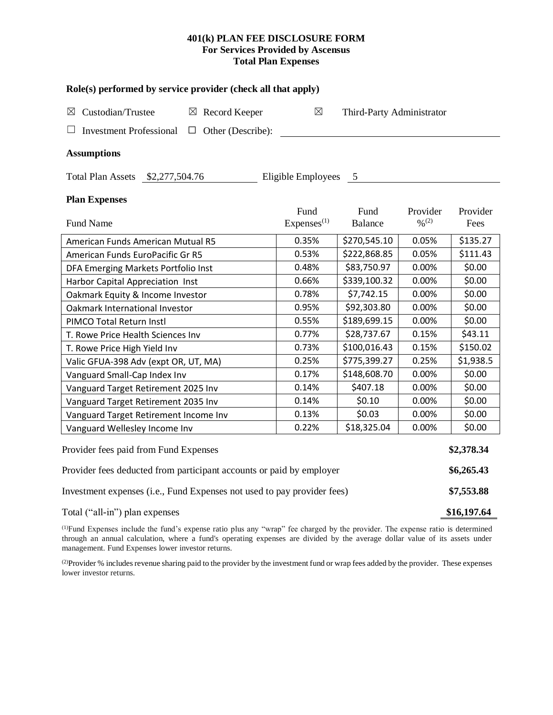# **401(k) PLAN FEE DISCLOSURE FORM For Services Provided by Ascensus Total Plan Expenses**

| Role(s) performed by service provider (check all that apply)            |                                 |                           |                                          |                  |  |  |  |  |  |  |
|-------------------------------------------------------------------------|---------------------------------|---------------------------|------------------------------------------|------------------|--|--|--|--|--|--|
| Custodian/Trustee<br>$\boxtimes$ Record Keeper<br>$\boxtimes$           | $\boxtimes$                     | Third-Party Administrator |                                          |                  |  |  |  |  |  |  |
| <b>Investment Professional</b><br>Other (Describe):<br>⊔<br>□           |                                 |                           |                                          |                  |  |  |  |  |  |  |
| <b>Assumptions</b>                                                      |                                 |                           |                                          |                  |  |  |  |  |  |  |
| Total Plan Assets \$2,277,504.76                                        | Eligible Employees              | $5\phantom{0}$            |                                          |                  |  |  |  |  |  |  |
| <b>Plan Expenses</b>                                                    |                                 |                           |                                          |                  |  |  |  |  |  |  |
| Fund Name                                                               | Fund<br>Expenses <sup>(1)</sup> | Fund<br>Balance           | Provider<br>$\frac{0}{2}$ <sup>(2)</sup> | Provider<br>Fees |  |  |  |  |  |  |
| American Funds American Mutual R5                                       | 0.35%                           | \$270,545.10              | 0.05%                                    | \$135.27         |  |  |  |  |  |  |
| American Funds EuroPacific Gr R5                                        | 0.53%                           | \$222,868.85              | 0.05%                                    | \$111.43         |  |  |  |  |  |  |
| DFA Emerging Markets Portfolio Inst                                     | 0.48%                           | \$83,750.97               | 0.00%                                    | \$0.00           |  |  |  |  |  |  |
| Harbor Capital Appreciation Inst                                        | 0.66%                           | \$339,100.32              | 0.00%                                    | \$0.00           |  |  |  |  |  |  |
| Oakmark Equity & Income Investor                                        | 0.78%                           | \$7,742.15                | 0.00%                                    | \$0.00           |  |  |  |  |  |  |
| Oakmark International Investor                                          | 0.95%                           | \$92,303.80               | 0.00%                                    | \$0.00           |  |  |  |  |  |  |
| PIMCO Total Return Instl                                                | 0.55%                           | \$189,699.15              | 0.00%                                    | \$0.00           |  |  |  |  |  |  |
| T. Rowe Price Health Sciences Inv                                       | 0.77%                           | \$28,737.67               | 0.15%                                    | \$43.11          |  |  |  |  |  |  |
| T. Rowe Price High Yield Inv                                            | 0.73%                           | \$100,016.43              | 0.15%                                    | \$150.02         |  |  |  |  |  |  |
| Valic GFUA-398 Adv (expt OR, UT, MA)                                    | 0.25%                           | \$775,399.27              | 0.25%                                    | \$1,938.5        |  |  |  |  |  |  |
| Vanguard Small-Cap Index Inv                                            | 0.17%                           | \$148,608.70              | 0.00%                                    | \$0.00           |  |  |  |  |  |  |
| Vanguard Target Retirement 2025 Inv                                     | 0.14%                           | \$407.18                  | 0.00%                                    | \$0.00           |  |  |  |  |  |  |
| Vanguard Target Retirement 2035 Inv                                     | 0.14%                           | \$0.10                    | 0.00%                                    | \$0.00           |  |  |  |  |  |  |
| Vanguard Target Retirement Income Inv                                   | 0.13%                           | \$0.03                    | 0.00%                                    | \$0.00           |  |  |  |  |  |  |
| Vanguard Wellesley Income Inv                                           | 0.22%                           | \$18,325.04               | 0.00%                                    | \$0.00           |  |  |  |  |  |  |
| Provider fees paid from Fund Expenses                                   |                                 |                           |                                          |                  |  |  |  |  |  |  |
| Provider fees deducted from participant accounts or paid by employer    |                                 |                           |                                          |                  |  |  |  |  |  |  |
| Investment expenses (i.e., Fund Expenses not used to pay provider fees) |                                 |                           |                                          |                  |  |  |  |  |  |  |
| Total ("all-in") plan expenses                                          |                                 |                           |                                          | \$16,197.64      |  |  |  |  |  |  |

(1)Fund Expenses include the fund's expense ratio plus any "wrap" fee charged by the provider. The expense ratio is determined through an annual calculation, where a fund's operating expenses are divided by the average dollar value of its assets under management. Fund Expenses lower investor returns.

(2) Provider % includes revenue sharing paid to the provider by the investment fund or wrap fees added by the provider. These expenses lower investor returns.